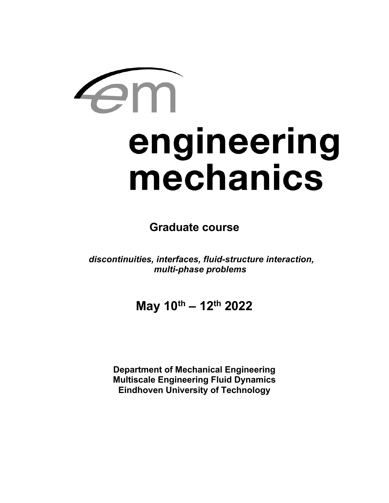# engineering mechanics

**Graduate course**

*discontinuities, interfaces, fluid-structure interaction, multi-phase problems*

**May 10th – 12th 2022**

**Department of Mechanical Engineering Multiscale Engineering Fluid Dynamics Eindhoven University of Technology**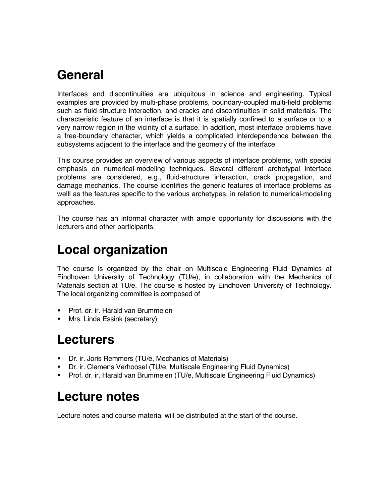### **General**

Interfaces and discontinuities are ubiquitous in science and engineering. Typical examples are provided by multi-phase problems, boundary-coupled multi-field problems such as fluid-structure interaction, and cracks and discontinuities in solid materials. The characteristic feature of an interface is that it is spatially confined to a surface or to a very narrow region in the vicinity of a surface. In addition, most interface problems have a free-boundary character, which yields a complicated interdependence between the subsystems adjacent to the interface and the geometry of the interface.

This course provides an overview of various aspects of interface problems, with special emphasis on numerical-modeling techniques. Several different archetypal interface problems are considered, e.g., fluid-structure interaction, crack propagation, and damage mechanics. The course identifies the generic features of interface problems as welll as the features specific to the various archetypes, in relation to numerical-modeling approaches.

The course has an informal character with ample opportunity for discussions with the lecturers and other participants.

# **Local organization**

The course is organized by the chair on Multiscale Engineering Fluid Dynamics at Eindhoven University of Technology (TU/e), in collaboration with the Mechanics of Materials section at TU/e. The course is hosted by Eindhoven University of Technology. The local organizing committee is composed of

- ! Prof. dr. ir. Harald van Brummelen
- **Nrs. Linda Essink (secretary)**

#### **Lecturers**

- **•** Dr. ir. Joris Remmers (TU/e, Mechanics of Materials)
- ! Dr. ir. Clemens Verhoosel (TU/e, Multiscale Engineering Fluid Dynamics)
- ! Prof. dr. ir. Harald van Brummelen (TU/e, Multiscale Engineering Fluid Dynamics)

# **Lecture notes**

Lecture notes and course material will be distributed at the start of the course.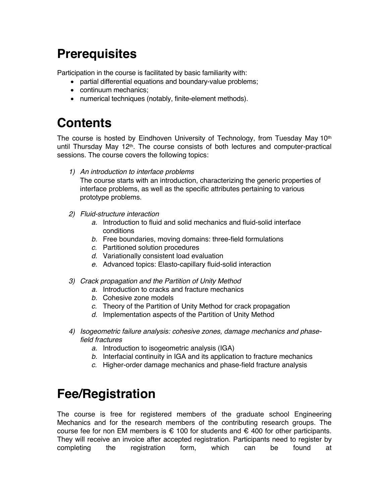## **Prerequisites**

Participation in the course is facilitated by basic familiarity with:

- partial differential equations and boundary-value problems;
- continuum mechanics;
- numerical techniques (notably, finite-element methods).

## **Contents**

The course is hosted by Eindhoven University of Technology, from Tuesday May  $10<sup>th</sup>$ until Thursday May 12<sup>th</sup>. The course consists of both lectures and computer-practical sessions. The course covers the following topics:

*1) An introduction to interface problems* 

The course starts with an introduction, characterizing the generic properties of interface problems, as well as the specific attributes pertaining to various prototype problems.

- *2) Fluid-structure interaction*
	- *a.* Introduction to fluid and solid mechanics and fluid-solid interface conditions
	- *b.* Free boundaries, moving domains: three-field formulations
	- *c.* Partitioned solution procedures
	- *d.* Variationally consistent load evaluation
	- *e.* Advanced topics: Elasto-capillary fluid-solid interaction
- *3) Crack propagation and the Partition of Unity Method*
	- *a.* Introduction to cracks and fracture mechanics
	- *b.* Cohesive zone models
	- *c.* Theory of the Partition of Unity Method for crack propagation
	- *d.* Implementation aspects of the Partition of Unity Method
- *4) Isogeometric failure analysis: cohesive zones, damage mechanics and phasefield fractures*
	- *a.* Introduction to isogeometric analysis (IGA)
	- *b.* Interfacial continuity in IGA and its application to fracture mechanics
	- *c.* Higher-order damage mechanics and phase-field fracture analysis

#### **Fee/Registration**

The course is free for registered members of the graduate school Engineering Mechanics and for the research members of the contributing research groups. The course fee for non EM members is  $\epsilon$  100 for students and  $\epsilon$  400 for other participants. They will receive an invoice after accepted registration. Participants need to register by completing the registration form, which can be found at